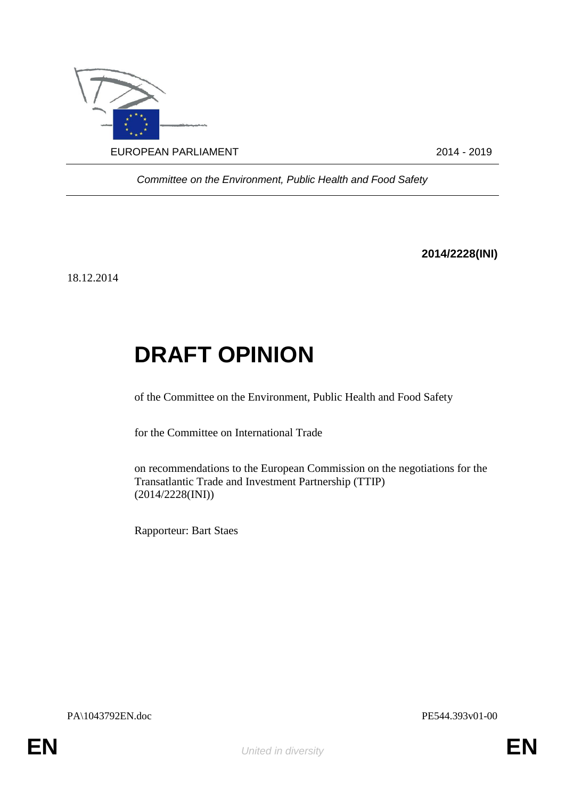

*Committee on the Environment, Public Health and Food Safety*

**2014/2228(INI)**

18.12.2014

## **DRAFT OPINION**

of the Committee on the Environment, Public Health and Food Safety

for the Committee on International Trade

on recommendations to the European Commission on the negotiations for the Transatlantic Trade and Investment Partnership (TTIP) (2014/2228(INI))

Rapporteur: Bart Staes

PA\1043792EN.doc PE544.393v01-00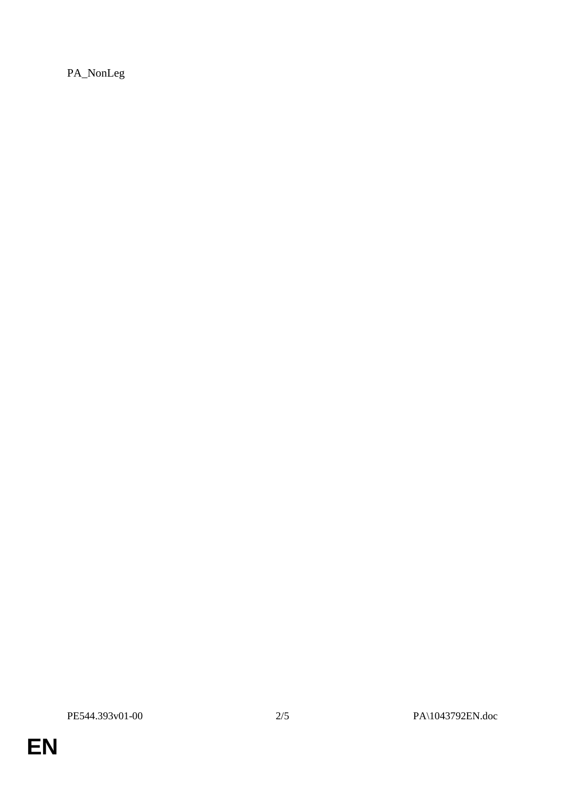PA\_NonLeg

**EN**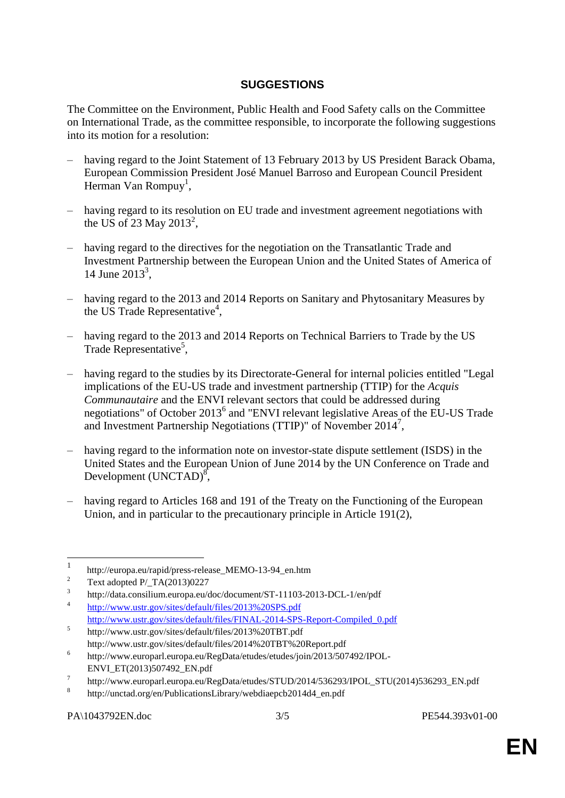## **SUGGESTIONS**

The Committee on the Environment, Public Health and Food Safety calls on the Committee on International Trade, as the committee responsible, to incorporate the following suggestions into its motion for a resolution:

- having regard to the Joint Statement of 13 February 2013 by US President Barack Obama, European Commission President José Manuel Barroso and European Council President Herman Van Rompuy<sup>1</sup>,
- having regard to its resolution on EU trade and investment agreement negotiations with the US of 23 May 2013<sup>2</sup>,
- having regard to the directives for the negotiation on the Transatlantic Trade and Investment Partnership between the European Union and the United States of America of 14 June  $2013^3$ ,
- having regard to the 2013 and 2014 Reports on Sanitary and Phytosanitary Measures by the US Trade Representative<sup>4</sup>,
- having regard to the 2013 and 2014 Reports on Technical Barriers to Trade by the US Trade Representative<sup>5</sup>,
- having regard to the studies by its Directorate-General for internal policies entitled "Legal implications of the EU-US trade and investment partnership (TTIP) for the *Acquis Communautaire* and the ENVI relevant sectors that could be addressed during negotiations" of October 2013<sup>6</sup> and "ENVI relevant legislative Areas of the EU-US Trade and Investment Partnership Negotiations (TTIP)" of November 2014<sup>7</sup> ,
- having regard to the information note on investor-state dispute settlement (ISDS) in the United States and the European Union of June 2014 by the UN Conference on Trade and Development  $(UNCTAD)^8$ ,
- having regard to Articles 168 and 191 of the Treaty on the Functioning of the European Union, and in particular to the precautionary principle in Article 191(2),

 $\frac{1}{1}$ http://europa.eu/rapid/press-release\_MEMO-13-94\_en.htm

<sup>2</sup> Text adopted P/\_TA(2013)0227

<sup>3</sup> http://data.consilium.europa.eu/doc/document/ST-11103-2013-DCL-1/en/pdf

<sup>4</sup> <http://www.ustr.gov/sites/default/files/2013%20SPS.pdf> [http://www.ustr.gov/sites/default/files/FINAL-2014-SPS-Report-Compiled\\_0.pdf](http://www.ustr.gov/sites/default/files/FINAL-2014-SPS-Report-Compiled_0.pdf)

<sup>5</sup> http://www.ustr.gov/sites/default/files/2013%20TBT.pdf http://www.ustr.gov/sites/default/files/2014%20TBT%20Report.pdf

<sup>6</sup> http://www.europarl.europa.eu/RegData/etudes/etudes/join/2013/507492/IPOL-ENVI\_ET(2013)507492\_EN.pdf

<sup>7</sup> http://www.europarl.europa.eu/RegData/etudes/STUD/2014/536293/IPOL\_STU(2014)536293\_EN.pdf

<sup>8</sup> http://unctad.org/en/PublicationsLibrary/webdiaepcb2014d4\_en.pdf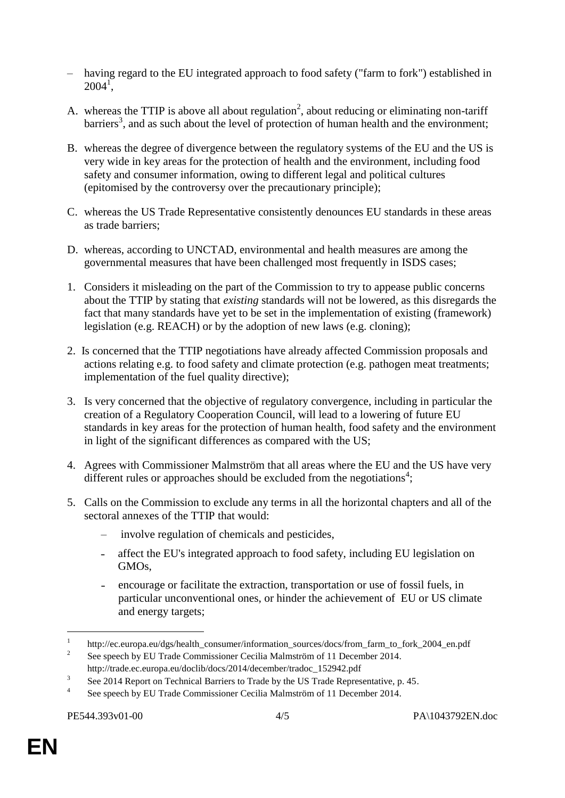- having regard to the EU integrated approach to food safety ("farm to fork") established in  $2004^{\frac{1}{1}}$
- A. whereas the TTIP is above all about regulation<sup>2</sup>, about reducing or eliminating non-tariff barriers<sup>3</sup>, and as such about the level of protection of human health and the environment;
- B. whereas the degree of divergence between the regulatory systems of the EU and the US is very wide in key areas for the protection of health and the environment, including food safety and consumer information, owing to different legal and political cultures (epitomised by the controversy over the precautionary principle);
- C. whereas the US Trade Representative consistently denounces EU standards in these areas as trade barriers;
- D. whereas, according to UNCTAD, environmental and health measures are among the governmental measures that have been challenged most frequently in ISDS cases;
- 1. Considers it misleading on the part of the Commission to try to appease public concerns about the TTIP by stating that *existing* standards will not be lowered, as this disregards the fact that many standards have yet to be set in the implementation of existing (framework) legislation (e.g. REACH) or by the adoption of new laws (e.g. cloning);
- 2. Is concerned that the TTIP negotiations have already affected Commission proposals and actions relating e.g. to food safety and climate protection (e.g. pathogen meat treatments; implementation of the fuel quality directive);
- 3. Is very concerned that the objective of regulatory convergence, including in particular the creation of a Regulatory Cooperation Council, will lead to a lowering of future EU standards in key areas for the protection of human health, food safety and the environment in light of the significant differences as compared with the US;
- 4. Agrees with Commissioner Malmström that all areas where the EU and the US have very different rules or approaches should be excluded from the negotiations<sup>4</sup>;
- 5. Calls on the Commission to exclude any terms in all the horizontal chapters and all of the sectoral annexes of the TTIP that would:
	- involve regulation of chemicals and pesticides,
	- affect the EU's integrated approach to food safety, including EU legislation on GMOs,
	- ˗ encourage or facilitate the extraction, transportation or use of fossil fuels, in particular unconventional ones, or hinder the achievement of EU or US climate and energy targets;

<u>.</u>

<sup>1</sup> http://ec.europa.eu/dgs/health\_consumer/information\_sources/docs/from\_farm\_to\_fork\_2004\_en.pdf

 $\overline{2}$ See speech by EU Trade Commissioner Cecilia Malmström of 11 December 2014. http://trade.ec.europa.eu/doclib/docs/2014/december/tradoc\_152942.pdf

<sup>3</sup> See 2014 Report on Technical Barriers to Trade by the US Trade Representative, p. 45.

<sup>4</sup> See speech by EU Trade Commissioner Cecilia Malmström of 11 December 2014.